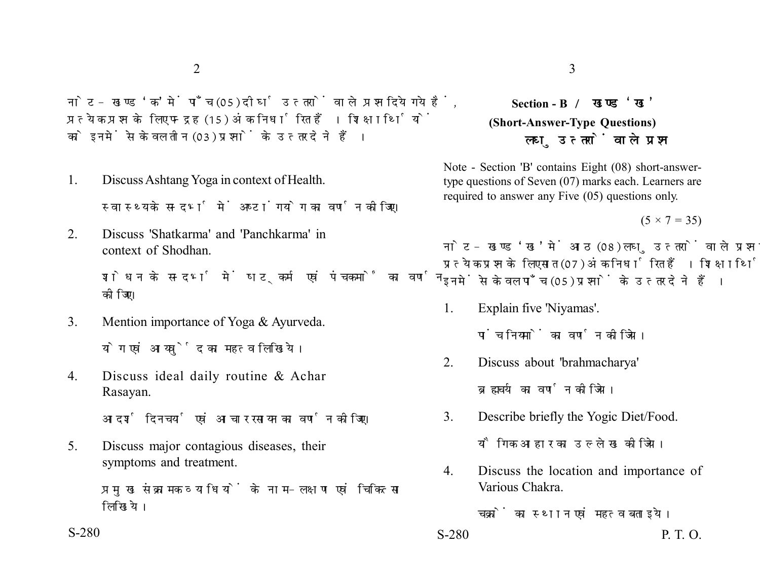नोट- खण्ड 'क' में पाँच (05) दीर्घ उत्तरों वाले प्रश्न दिये गये हैं. प्रत्येक प्रश्न के लिए पन्द्रह (15) अंक निर्धारित हैं। शिक्षार्थियों को इनमें से केवल तीन (03) प्रश्नों के उत्तर देने हैं।

- 1. Discuss Ashtang Yoga in context of Health. स्वास्थ्य के सन्दर्भ में अष्टांगयोग का वर्णन कीजिए।
- 2. Discuss 'Shatkarma' and 'Panchkarma' in context of Shodhan.

शोधन के सन्दर्भ में षटकर्म एवं पंचकर्मों का वर्णन कोजिए।

- 3. Mention importance of Yoga & Ayurveda. योग एवं आयर्वेृद का महत्व लिखिये।
- 4. Discuss ideal daily routine & Achar Rasayan.

आदर्श दिनचर्या एवं आचार रसायन का वर्णन कीजिए।

5. Discuss major contagious diseases, their symptoms and treatment.

> प्रमुख संक्रामक व्याधियों के नाम-लक्षण एवं चिकित्सा लिखिये।

## **Section - B (Short-Answer-Type Questions)** लघ उत्तरों वाले प्रश्न

Note - Section 'B' contains Eight (08) short-answertype questions of Seven (07) marks each. Learners are required to answer any Five (05) questions only.

 $(5 \times 7 = 35)$ 

नोट- खण्ड 'ख' में आठ (08) लघु उत्तरों वाले प्रश्न दिये गये हैं, प्रत्येक प्रश्न के लिए सात (07) अंक निर्धारित हैं। शिक्षार्थियों को इनमें से केवल पाँच (05) प्रश्नों के उत्तर देने हैं।

1. Explain five 'Niyamas'.

पांच नियमों का वर्णन कीजिये।

2. Discuss about 'brahmacharya'

ब्रह्मचर्य का वर्णन कोजिये।

3. Describe briefly the Yogic Diet/Food.

यौगिक आहार का उल्लेख कीजिये।

4. Discuss the location and importance of Various Chakra.

चक्रों का स्थान एवं महत्व बताइये।

S-280 **P. T. O.**